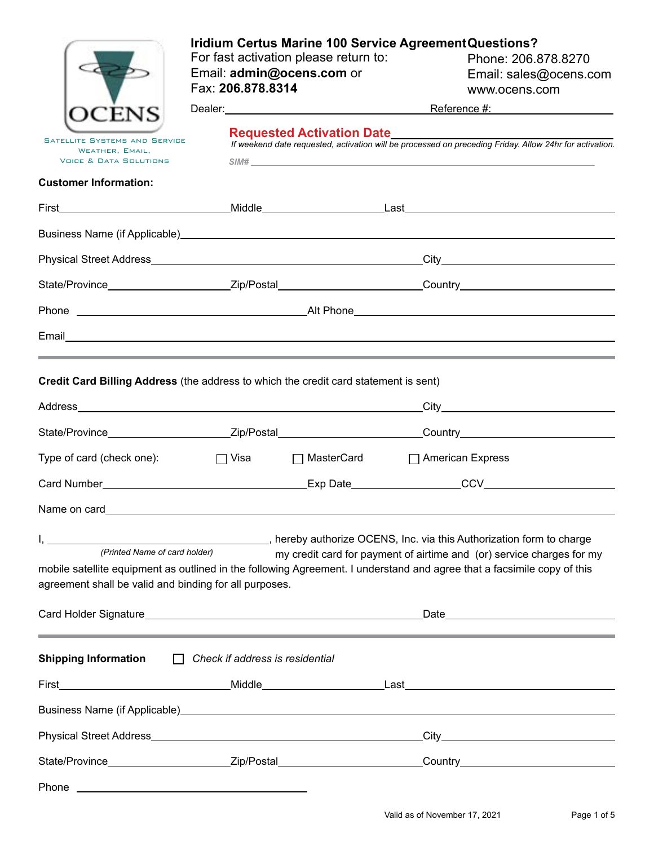|                                                                                                                                                                                                | <b>Iridium Certus Marine 100 Service Agreement Questions?</b><br>For fast activation please return to:<br>Email: admin@ocens.com or<br>Fax: 206.878.8314 |  |  | Phone: 206.878.8270<br>Email: sales@ocens.com<br>www.ocens.com                                                 |  |  |
|------------------------------------------------------------------------------------------------------------------------------------------------------------------------------------------------|----------------------------------------------------------------------------------------------------------------------------------------------------------|--|--|----------------------------------------------------------------------------------------------------------------|--|--|
|                                                                                                                                                                                                |                                                                                                                                                          |  |  |                                                                                                                |  |  |
| <b>SATELLITE SYSTEMS AND SERVICE</b><br>WEATHER, EMAIL,<br><b>VOICE &amp; DATA SOLUTIONS</b>                                                                                                   | Requested Activation Date<br>If weekend date requested, activation will be processed on preceding Friday. Allow 24hr for activation.<br>SIM#             |  |  |                                                                                                                |  |  |
| <b>Customer Information:</b>                                                                                                                                                                   |                                                                                                                                                          |  |  |                                                                                                                |  |  |
|                                                                                                                                                                                                |                                                                                                                                                          |  |  |                                                                                                                |  |  |
|                                                                                                                                                                                                |                                                                                                                                                          |  |  |                                                                                                                |  |  |
|                                                                                                                                                                                                |                                                                                                                                                          |  |  |                                                                                                                |  |  |
|                                                                                                                                                                                                |                                                                                                                                                          |  |  | State/Province_________________________Zip/Postal__________________________Country____________________________ |  |  |
|                                                                                                                                                                                                |                                                                                                                                                          |  |  |                                                                                                                |  |  |
|                                                                                                                                                                                                |                                                                                                                                                          |  |  |                                                                                                                |  |  |
|                                                                                                                                                                                                |                                                                                                                                                          |  |  | ,我们也不能会在这里,我们的人们都会不能会在这里,我们也不能会不能会不能会不能会不能会不能会不能会。""我们的人们,我们也不能会不能会不能会不能会不能会不能会不                               |  |  |
| Credit Card Billing Address (the address to which the credit card statement is sent)                                                                                                           |                                                                                                                                                          |  |  |                                                                                                                |  |  |
|                                                                                                                                                                                                |                                                                                                                                                          |  |  |                                                                                                                |  |  |
|                                                                                                                                                                                                |                                                                                                                                                          |  |  | State/Province___________________________Zip/Postal___________________________Country_________________________ |  |  |
| Type of card (check one):                                                                                                                                                                      | □ Visa □ MasterCard □ American Express                                                                                                                   |  |  |                                                                                                                |  |  |
| Card Number <b>Card Number Card Number Card Number Card Number Card 10 Card 10 Card 10 Card 10 Card 10 Card 10 Card 10 Card 10 Card 10 Card 10 Card 10 Card 10 Card 10 Card 10 Card 10 Car</b> |                                                                                                                                                          |  |  |                                                                                                                |  |  |
| Name on card                                                                                                                                                                                   |                                                                                                                                                          |  |  |                                                                                                                |  |  |
| (Printed Name of card holder)                                                                                                                                                                  | hereby authorize OCENS, Inc. via this Authorization form to charge                                                                                       |  |  | my credit card for payment of airtime and (or) service charges for my                                          |  |  |
| mobile satellite equipment as outlined in the following Agreement. I understand and agree that a facsimile copy of this<br>agreement shall be valid and binding for all purposes.              |                                                                                                                                                          |  |  |                                                                                                                |  |  |
|                                                                                                                                                                                                |                                                                                                                                                          |  |  |                                                                                                                |  |  |
| <b>Shipping Information</b>                                                                                                                                                                    | $\Box$ Check if address is residential                                                                                                                   |  |  |                                                                                                                |  |  |
|                                                                                                                                                                                                |                                                                                                                                                          |  |  |                                                                                                                |  |  |
|                                                                                                                                                                                                |                                                                                                                                                          |  |  |                                                                                                                |  |  |
|                                                                                                                                                                                                |                                                                                                                                                          |  |  |                                                                                                                |  |  |
|                                                                                                                                                                                                |                                                                                                                                                          |  |  | State/Province___________________________Zip/Postal____________________________Country________________________ |  |  |
| Phone                                                                                                                                                                                          | <u> 1980 - Johann Barnett, fransk politiker (d. 1980)</u>                                                                                                |  |  |                                                                                                                |  |  |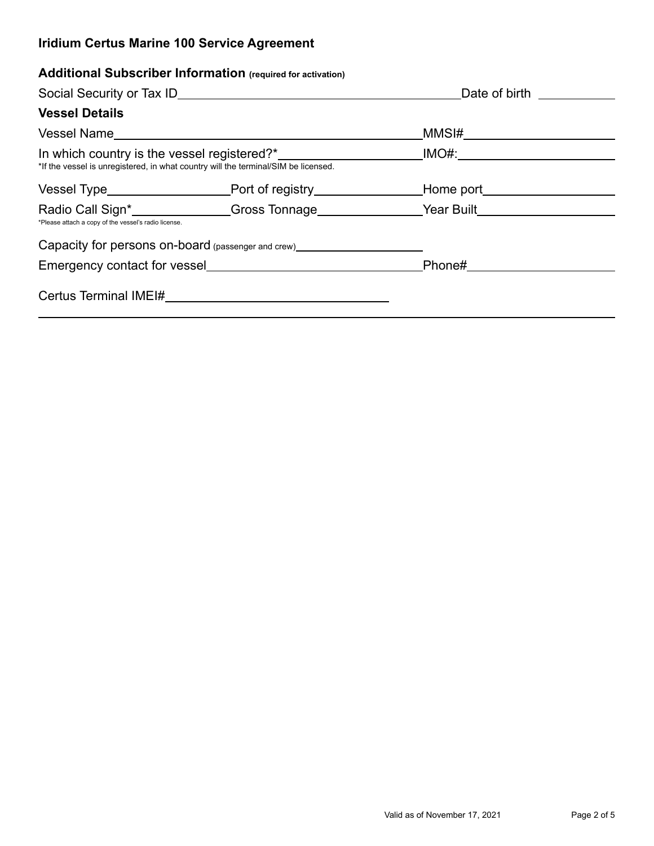# **Additional Subscriber Information (required for activation)**

|                                                      |                                                                                                                 | Date of birth ____________                                                                                                                                                                                                          |  |  |
|------------------------------------------------------|-----------------------------------------------------------------------------------------------------------------|-------------------------------------------------------------------------------------------------------------------------------------------------------------------------------------------------------------------------------------|--|--|
| <b>Vessel Details</b>                                |                                                                                                                 |                                                                                                                                                                                                                                     |  |  |
|                                                      |                                                                                                                 | _MMSI#____________________                                                                                                                                                                                                          |  |  |
|                                                      | *If the vessel is unregistered, in what country will the terminal/SIM be licensed.                              |                                                                                                                                                                                                                                     |  |  |
|                                                      |                                                                                                                 |                                                                                                                                                                                                                                     |  |  |
| *Please attach a copy of the vessel's radio license. |                                                                                                                 | Radio Call Sign* <b>Example 20 Transformage Call Sign*  Call Sign*  Call Sign*  Call Sign*  Call Sign*  Call Sign*  Call Sign*  Call Sign*  Call Sign*  Call Sign*  Call Sign*  Call Sign*  Call Sign*  Call Sign*  Call Sign* </b> |  |  |
|                                                      | Capacity for persons on-board (passenger and crew)<br><u>Capacity</u> for persons on-board (passenger and crew) |                                                                                                                                                                                                                                     |  |  |
| Emergency contact for vessel                         |                                                                                                                 |                                                                                                                                                                                                                                     |  |  |
|                                                      |                                                                                                                 |                                                                                                                                                                                                                                     |  |  |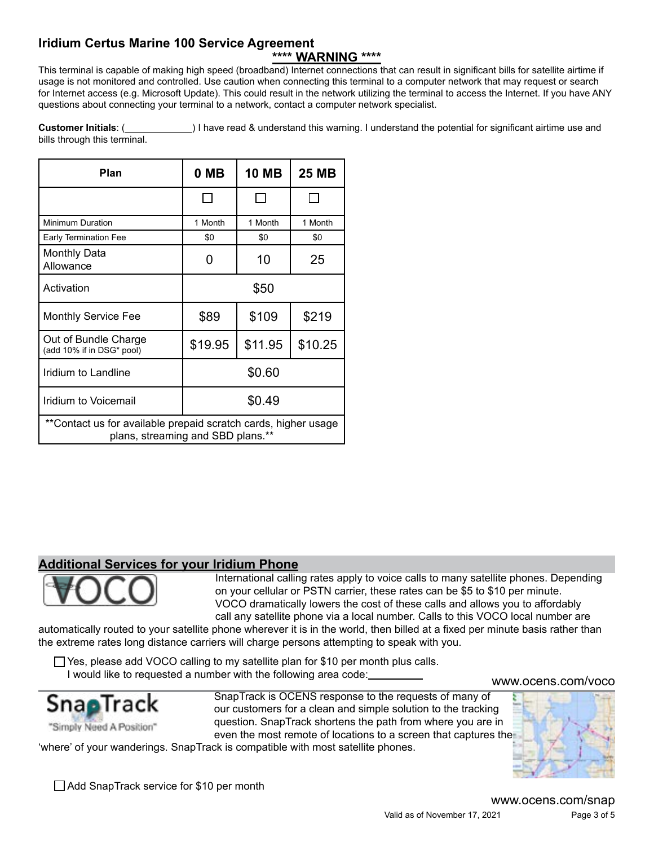# **\*\*\*\* WARNING \*\*\*\***

This terminal is capable of making high speed (broadband) Internet connections that can result in significant bills for satellite airtime if usage is not monitored and controlled. Use caution when connecting this terminal to a computer network that may request or search for Internet access (e.g. Microsoft Update). This could result in the network utilizing the terminal to access the Internet. If you have ANY questions about connecting your terminal to a network, contact a computer network specialist.

**Customer Initials**: ( **)** I have read & understand this warning. I understand the potential for significant airtime use and bills through this terminal.

| Plan                                                                                                | 0 MB    | <b>10 MB</b> | 25 MB   |  |  |  |
|-----------------------------------------------------------------------------------------------------|---------|--------------|---------|--|--|--|
|                                                                                                     |         |              |         |  |  |  |
| Minimum Duration                                                                                    | 1 Month | 1 Month      | 1 Month |  |  |  |
| <b>Early Termination Fee</b>                                                                        | \$0     | \$0          | \$0     |  |  |  |
| <b>Monthly Data</b><br>Allowance                                                                    | 0       | 10           | 25      |  |  |  |
| Activation                                                                                          | \$50    |              |         |  |  |  |
| <b>Monthly Service Fee</b>                                                                          | \$89    | \$109        | \$219   |  |  |  |
| Out of Bundle Charge<br>(add 10% if in DSG* pool)                                                   | \$19.95 | \$11.95      | \$10.25 |  |  |  |
| Iridium to Landline                                                                                 | \$0.60  |              |         |  |  |  |
| Iridium to Voicemail                                                                                | \$0.49  |              |         |  |  |  |
| **Contact us for available prepaid scratch cards, higher usage<br>plans, streaming and SBD plans.** |         |              |         |  |  |  |

### **Additional Services for your Iridium Phone**

International calling rates apply to voice calls to many satellite phones. Depending on your cellular or PSTN carrier, these rates can be \$5 to \$10 per minute. VOCO dramatically lowers the cost of these calls and allows you to affordably call any satellite phone via a local number. Calls to this VOCO local number are

automatically routed to your satellite phone wherever it is in the world, then billed at a fixed per minute basis rather than the extreme rates long distance carriers will charge persons attempting to speak with you.

 $\Box$  Yes, please add VOCO calling to my satellite plan for \$10 per month plus calls. I would like to requested a number with the following area code:



SnapTrack is OCENS response to the requests of many of our customers for a clean and simple solution to the tracking question. SnapTrack shortens the path from where you are in even the most remote of locations to a screen that captures the



<www.ocens.com/voco>

'where' of your wanderings. SnapTrack is compatible with most satellite phones.

□ Add SnapTrack service for \$10 per month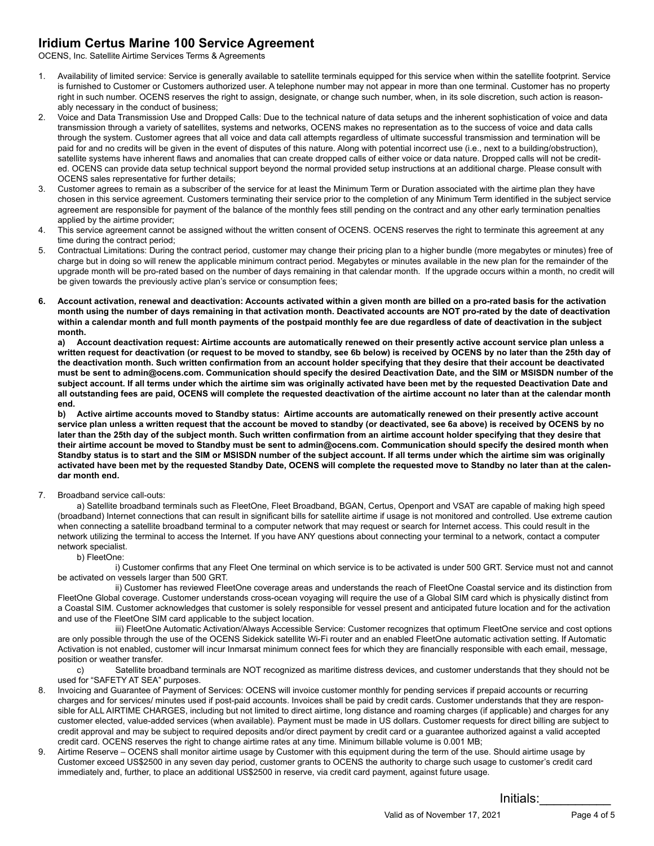OCENS, Inc. Satellite Airtime Services Terms & Agreements

- 1. Availability of limited service: Service is generally available to satellite terminals equipped for this service when within the satellite footprint. Service is furnished to Customer or Customers authorized user. A telephone number may not appear in more than one terminal. Customer has no property right in such number. OCENS reserves the right to assign, designate, or change such number, when, in its sole discretion, such action is reasonably necessary in the conduct of business;
- 2. Voice and Data Transmission Use and Dropped Calls: Due to the technical nature of data setups and the inherent sophistication of voice and data transmission through a variety of satellites, systems and networks, OCENS makes no representation as to the success of voice and data calls through the system. Customer agrees that all voice and data call attempts regardless of ultimate successful transmission and termination will be paid for and no credits will be given in the event of disputes of this nature. Along with potential incorrect use (i.e., next to a building/obstruction), satellite systems have inherent flaws and anomalies that can create dropped calls of either voice or data nature. Dropped calls will not be credited. OCENS can provide data setup technical support beyond the normal provided setup instructions at an additional charge. Please consult with OCENS sales representative for further details;
- 3. Customer agrees to remain as a subscriber of the service for at least the Minimum Term or Duration associated with the airtime plan they have chosen in this service agreement. Customers terminating their service prior to the completion of any Minimum Term identified in the subject service agreement are responsible for payment of the balance of the monthly fees still pending on the contract and any other early termination penalties applied by the airtime provider;
- 4. This service agreement cannot be assigned without the written consent of OCENS. OCENS reserves the right to terminate this agreement at any time during the contract period;
- 5. Contractual Limitations: During the contract period, customer may change their pricing plan to a higher bundle (more megabytes or minutes) free of charge but in doing so will renew the applicable minimum contract period. Megabytes or minutes available in the new plan for the remainder of the upgrade month will be pro-rated based on the number of days remaining in that calendar month. If the upgrade occurs within a month, no credit will be given towards the previously active plan's service or consumption fees;
- **6. Account activation, renewal and deactivation: Accounts activated within a given month are billed on a pro-rated basis for the activation month using the number of days remaining in that activation month. Deactivated accounts are NOT pro-rated by the date of deactivation within a calendar month and full month payments of the postpaid monthly fee are due regardless of date of deactivation in the subject month.**

**a) Account deactivation request: Airtime accounts are automatically renewed on their presently active account service plan unless a written request for deactivation (or request to be moved to standby, see 6b below) is received by OCENS by no later than the 25th day of the deactivation month. Such written confirmation from an account holder specifying that they desire that their account be deactivated must be sent to admin@ocens.com. Communication should specify the desired Deactivation Date, and the SIM or MSISDN number of the subject account. If all terms under which the airtime sim was originally activated have been met by the requested Deactivation Date and all outstanding fees are paid, OCENS will complete the requested deactivation of the airtime account no later than at the calendar month end.**

**b) Active airtime accounts moved to Standby status: Airtime accounts are automatically renewed on their presently active account service plan unless a written request that the account be moved to standby (or deactivated, see 6a above) is received by OCENS by no later than the 25th day of the subject month. Such written confirmation from an airtime account holder specifying that they desire that their airtime account be moved to Standby must be sent to admin@ocens.com. Communication should specify the desired month when Standby status is to start and the SIM or MSISDN number of the subject account. If all terms under which the airtime sim was originally activated have been met by the requested Standby Date, OCENS will complete the requested move to Standby no later than at the calendar month end.**

7. Broadband service call-outs:

a) Satellite broadband terminals such as FleetOne, Fleet Broadband, BGAN, Certus, Openport and VSAT are capable of making high speed (broadband) Internet connections that can result in significant bills for satellite airtime if usage is not monitored and controlled. Use extreme caution when connecting a satellite broadband terminal to a computer network that may request or search for Internet access. This could result in the network utilizing the terminal to access the Internet. If you have ANY questions about connecting your terminal to a network, contact a computer network specialist.

#### b) FleetOne:

i) Customer confirms that any Fleet One terminal on which service is to be activated is under 500 GRT. Service must not and cannot be activated on vessels larger than 500 GRT.

 ii) Customer has reviewed FleetOne coverage areas and understands the reach of FleetOne Coastal service and its distinction from FleetOne Global coverage. Customer understands cross-ocean voyaging will require the use of a Global SIM card which is physically distinct from a Coastal SIM. Customer acknowledges that customer is solely responsible for vessel present and anticipated future location and for the activation and use of the FleetOne SIM card applicable to the subject location.

 iii) FleetOne Automatic Activation/Always Accessible Service: Customer recognizes that optimum FleetOne service and cost options are only possible through the use of the OCENS Sidekick satellite Wi-Fi router and an enabled FleetOne automatic activation setting. If Automatic Activation is not enabled, customer will incur Inmarsat minimum connect fees for which they are financially responsible with each email, message, position or weather transfer.

c) Satellite broadband terminals are NOT recognized as maritime distress devices, and customer understands that they should not be used for "SAFETY AT SEA" purposes.

- 8. Invoicing and Guarantee of Payment of Services: OCENS will invoice customer monthly for pending services if prepaid accounts or recurring charges and for services/ minutes used if post-paid accounts. Invoices shall be paid by credit cards. Customer understands that they are responsible for ALL AIRTIME CHARGES, including but not limited to direct airtime, long distance and roaming charges (if applicable) and charges for any customer elected, value-added services (when available). Payment must be made in US dollars. Customer requests for direct billing are subject to credit approval and may be subject to required deposits and/or direct payment by credit card or a guarantee authorized against a valid accepted credit card. OCENS reserves the right to change airtime rates at any time. Minimum billable volume is 0.001 MB;
- 9. Airtime Reserve OCENS shall monitor airtime usage by Customer with this equipment during the term of the use. Should airtime usage by Customer exceed US\$2500 in any seven day period, customer grants to OCENS the authority to charge such usage to customer's credit card immediately and, further, to place an additional US\$2500 in reserve, via credit card payment, against future usage.

Initials:\_\_\_\_\_\_\_\_\_\_